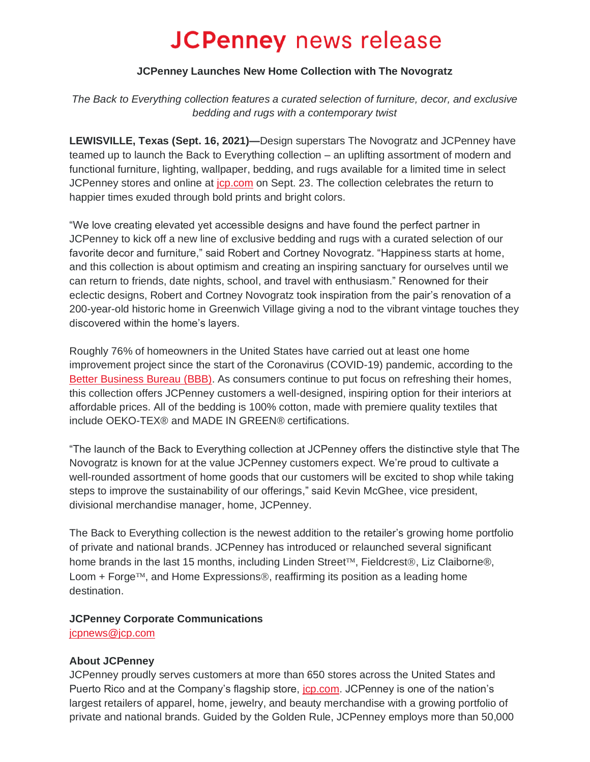# **JCPenney** news release

#### **JCPenney Launches New Home Collection with The Novogratz**

*The Back to Everything collection features a curated selection of furniture, decor, and exclusive bedding and rugs with a contemporary twist*

**LEWISVILLE, Texas (Sept. 16, 2021)***—*Design superstars The Novogratz and JCPenney have teamed up to launch the Back to Everything collection – an uplifting assortment of modern and functional furniture, lighting, wallpaper, bedding, and rugs available for a limited time in select JCPenney stores and online at [jcp.com](https://www.jcpenney.com/) on Sept. 23. The collection celebrates the return to happier times exuded through bold prints and bright colors.

"We love creating elevated yet accessible designs and have found the perfect partner in JCPenney to kick off a new line of exclusive bedding and rugs with a curated selection of our favorite decor and furniture," said Robert and Cortney Novogratz. "Happiness starts at home, and this collection is about optimism and creating an inspiring sanctuary for ourselves until we can return to friends, date nights, school, and travel with enthusiasm." Renowned for their eclectic designs, Robert and Cortney Novogratz took inspiration from the pair's renovation of a 200-year-old historic home in Greenwich Village giving a nod to the vibrant vintage touches they discovered within the home's layers.

Roughly 76% of homeowners in the United States have carried out at least one home improvement project since the start of the Coronavirus (COVID-19) pandemic, according to the [Better Business Bureau](https://www.bbb.org/article/business/23982-bbb-business-impact-report-2021-home-improvement-industry-trends) (BBB). As consumers continue to put focus on refreshing their homes, this collection offers JCPenney customers a well-designed, inspiring option for their interiors at affordable prices. All of the bedding is 100% cotton, made with premiere quality textiles that include OEKO-TEX® and MADE IN GREEN® certifications.

"The launch of the Back to Everything collection at JCPenney offers the distinctive style that The Novogratz is known for at the value JCPenney customers expect. We're proud to cultivate a well-rounded assortment of home goods that our customers will be excited to shop while taking steps to improve the sustainability of our offerings," said Kevin McGhee, vice president, divisional merchandise manager, home, JCPenney.

The Back to Everything collection is the newest addition to the retailer's growing home portfolio of private and national brands. JCPenney has introduced or relaunched several significant home brands in the last 15 months, including Linden Street<sup>TM</sup>, Fieldcrest®, Liz Claiborne®, Loom  $+$  Forge<sup>TM</sup>, and Home Expressions<sup>®</sup>, reaffirming its position as a leading home destination.

## **JCPenney Corporate Communications**

[jcpnews@jcp.com](mailto:jcpnews@jcp.com)

## **About JCPenney**

JCPenney proudly serves customers at more than 650 stores across the United States and Puerto Rico and at the Company's flagship store, [jcp.com.](https://www.jcpenney.com/) JCPenney is one of the nation's largest retailers of apparel, home, jewelry, and beauty merchandise with a growing portfolio of private and national brands. Guided by the Golden Rule, JCPenney employs more than 50,000